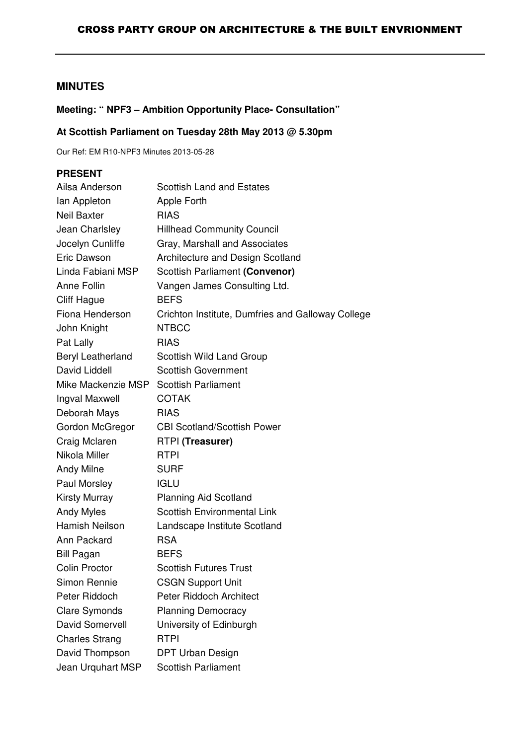# **MINUTES**

# **Meeting: " NPF3 – Ambition Opportunity Place- Consultation"**

# **At Scottish Parliament on Tuesday 28th May 2013 @ 5.30pm**

Our Ref: EM R10-NPF3 Minutes 2013-05-28

# **PRESENT**

| Ailsa Anderson           | <b>Scottish Land and Estates</b>                  |
|--------------------------|---------------------------------------------------|
| lan Appleton             | Apple Forth                                       |
| <b>Neil Baxter</b>       | <b>RIAS</b>                                       |
| Jean Charlsley           | <b>Hillhead Community Council</b>                 |
| Jocelyn Cunliffe         | Gray, Marshall and Associates                     |
| Eric Dawson              | Architecture and Design Scotland                  |
| Linda Fabiani MSP        | Scottish Parliament (Convenor)                    |
| Anne Follin              | Vangen James Consulting Ltd.                      |
| <b>Cliff Hague</b>       | <b>BEFS</b>                                       |
| Fiona Henderson          | Crichton Institute, Dumfries and Galloway College |
| John Knight              | <b>NTBCC</b>                                      |
| Pat Lally                | <b>RIAS</b>                                       |
| <b>Beryl Leatherland</b> | Scottish Wild Land Group                          |
| David Liddell            | <b>Scottish Government</b>                        |
| Mike Mackenzie MSP       | <b>Scottish Parliament</b>                        |
| Ingval Maxwell           | <b>COTAK</b>                                      |
| Deborah Mays             | <b>RIAS</b>                                       |
| Gordon McGregor          | <b>CBI Scotland/Scottish Power</b>                |
| Craig Mclaren            | RTPI (Treasurer)                                  |
| Nikola Miller            | <b>RTPI</b>                                       |
| <b>Andy Milne</b>        | <b>SURF</b>                                       |
| Paul Morsley             | <b>IGLU</b>                                       |
| <b>Kirsty Murray</b>     | <b>Planning Aid Scotland</b>                      |
| <b>Andy Myles</b>        | <b>Scottish Environmental Link</b>                |
| Hamish Neilson           | Landscape Institute Scotland                      |
| Ann Packard              | <b>RSA</b>                                        |
| <b>Bill Pagan</b>        | <b>BEFS</b>                                       |
| Colin Proctor            | <b>Scottish Futures Trust</b>                     |
| Simon Rennie             | <b>CSGN Support Unit</b>                          |
| Peter Riddoch            | <b>Peter Riddoch Architect</b>                    |
| <b>Clare Symonds</b>     | <b>Planning Democracy</b>                         |
| David Somervell          | University of Edinburgh                           |
| <b>Charles Strang</b>    | <b>RTPI</b>                                       |
| David Thompson           | <b>DPT Urban Design</b>                           |
| Jean Urquhart MSP        | <b>Scottish Parliament</b>                        |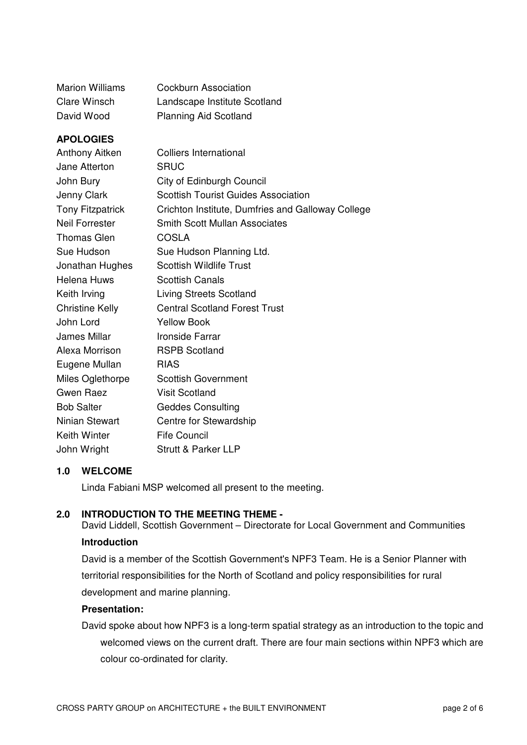| <b>Marion Williams</b> | Cockburn Association         |
|------------------------|------------------------------|
| Clare Winsch           | Landscape Institute Scotland |
| David Wood             | <b>Planning Aid Scotland</b> |

# **APOLOGIES**

| Anthony Aitken          | <b>Colliers International</b>                     |
|-------------------------|---------------------------------------------------|
| Jane Atterton           | SRUC                                              |
| John Bury               | City of Edinburgh Council                         |
| Jenny Clark             | <b>Scottish Tourist Guides Association</b>        |
| <b>Tony Fitzpatrick</b> | Crichton Institute, Dumfries and Galloway College |
| <b>Neil Forrester</b>   | <b>Smith Scott Mullan Associates</b>              |
| <b>Thomas Glen</b>      | <b>COSLA</b>                                      |
| Sue Hudson              | Sue Hudson Planning Ltd.                          |
| Jonathan Hughes         | <b>Scottish Wildlife Trust</b>                    |
| Helena Huws             | <b>Scottish Canals</b>                            |
| Keith Irving            | <b>Living Streets Scotland</b>                    |
| <b>Christine Kelly</b>  | <b>Central Scotland Forest Trust</b>              |
| John Lord               | <b>Yellow Book</b>                                |
| James Millar            | <b>Ironside Farrar</b>                            |
| Alexa Morrison          | <b>RSPB Scotland</b>                              |
| Eugene Mullan           | <b>RIAS</b>                                       |
| Miles Oglethorpe        | <b>Scottish Government</b>                        |
| Gwen Raez               | <b>Visit Scotland</b>                             |
| <b>Bob Salter</b>       | <b>Geddes Consulting</b>                          |
| Ninian Stewart          | Centre for Stewardship                            |
| <b>Keith Winter</b>     | <b>Fife Council</b>                               |
| John Wright             | Strutt & Parker LLP                               |

# **1.0 WELCOME**

Linda Fabiani MSP welcomed all present to the meeting.

# **2.0 INTRODUCTION TO THE MEETING THEME -**

David Liddell, Scottish Government – Directorate for Local Government and Communities **Introduction**

David is a member of the Scottish Government's NPF3 Team. He is a Senior Planner with territorial responsibilities for the North of Scotland and policy responsibilities for rural development and marine planning.

# **Presentation:**

David spoke about how NPF3 is a long-term spatial strategy as an introduction to the topic and welcomed views on the current draft. There are four main sections within NPF3 which are colour co-ordinated for clarity.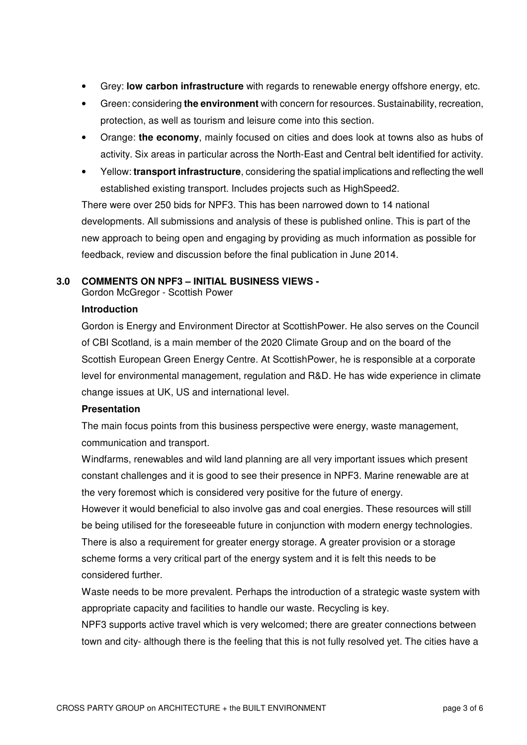- Grey: **low carbon infrastructure** with regards to renewable energy offshore energy, etc.
- Green: considering **the environment** with concern for resources. Sustainability, recreation, protection, as well as tourism and leisure come into this section.
- Orange: **the economy**, mainly focused on cities and does look at towns also as hubs of activity. Six areas in particular across the North-East and Central belt identified for activity.
- Yellow: **transport infrastructure**, considering the spatial implications and reflecting the well established existing transport. Includes projects such as HighSpeed2.

There were over 250 bids for NPF3. This has been narrowed down to 14 national developments. All submissions and analysis of these is published online. This is part of the new approach to being open and engaging by providing as much information as possible for feedback, review and discussion before the final publication in June 2014.

# **3.0 COMMENTS ON NPF3 – INITIAL BUSINESS VIEWS -**

Gordon McGregor - Scottish Power

## **Introduction**

Gordon is Energy and Environment Director at ScottishPower. He also serves on the Council of CBI Scotland, is a main member of the 2020 Climate Group and on the board of the Scottish European Green Energy Centre. At ScottishPower, he is responsible at a corporate level for environmental management, regulation and R&D. He has wide experience in climate change issues at UK, US and international level.

### **Presentation**

The main focus points from this business perspective were energy, waste management, communication and transport.

Windfarms, renewables and wild land planning are all very important issues which present constant challenges and it is good to see their presence in NPF3. Marine renewable are at the very foremost which is considered very positive for the future of energy.

However it would beneficial to also involve gas and coal energies. These resources will still be being utilised for the foreseeable future in conjunction with modern energy technologies. There is also a requirement for greater energy storage. A greater provision or a storage scheme forms a very critical part of the energy system and it is felt this needs to be considered further.

Waste needs to be more prevalent. Perhaps the introduction of a strategic waste system with appropriate capacity and facilities to handle our waste. Recycling is key.

NPF3 supports active travel which is very welcomed; there are greater connections between town and city- although there is the feeling that this is not fully resolved yet. The cities have a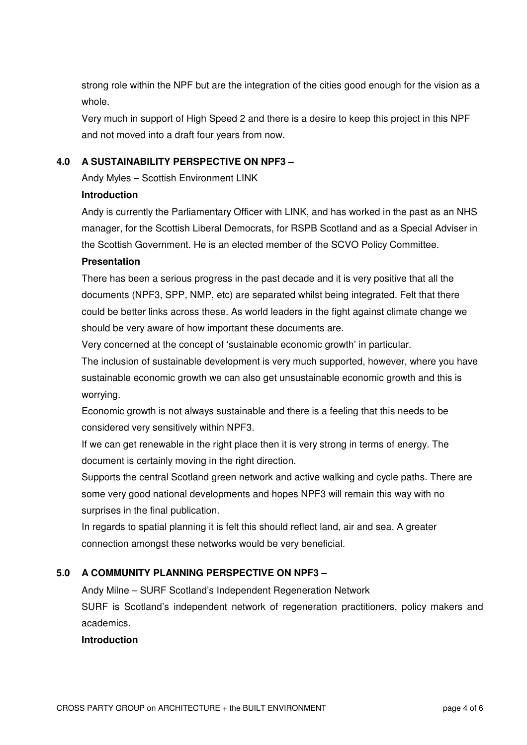strong role within the NPF but are the integration of the cities good enough for the vision as a whole.

Very much in support of High Speed 2 and there is a desire to keep this project in this NPF and not moved into a draft four years from now.

# **4.0 A SUSTAINABILITY PERSPECTIVE ON NPF3 –**

Andy Myles – Scottish Environment LINK

# **Introduction**

Andy is currently the Parliamentary Officer with LINK, and has worked in the past as an NHS manager, for the Scottish Liberal Democrats, for RSPB Scotland and as a Special Adviser in the Scottish Government. He is an elected member of the SCVO Policy Committee.

# **Presentation**

There has been a serious progress in the past decade and it is very positive that all the documents (NPF3, SPP, NMP, etc) are separated whilst being integrated. Felt that there could be better links across these. As world leaders in the fight against climate change we should be very aware of how important these documents are.

Very concerned at the concept of 'sustainable economic growth' in particular.

The inclusion of sustainable development is very much supported, however, where you have sustainable economic growth we can also get unsustainable economic growth and this is worrying.

Economic growth is not always sustainable and there is a feeling that this needs to be considered very sensitively within NPF3.

If we can get renewable in the right place then it is very strong in terms of energy. The document is certainly moving in the right direction.

Supports the central Scotland green network and active walking and cycle paths. There are some very good national developments and hopes NPF3 will remain this way with no surprises in the final publication.

In regards to spatial planning it is felt this should reflect land, air and sea. A greater connection amongst these networks would be very beneficial.

# **5.0 A COMMUNITY PLANNING PERSPECTIVE ON NPF3 –**

Andy Milne – SURF Scotland's Independent Regeneration Network SURF is Scotland's independent network of regeneration practitioners, policy makers and academics.

# **Introduction**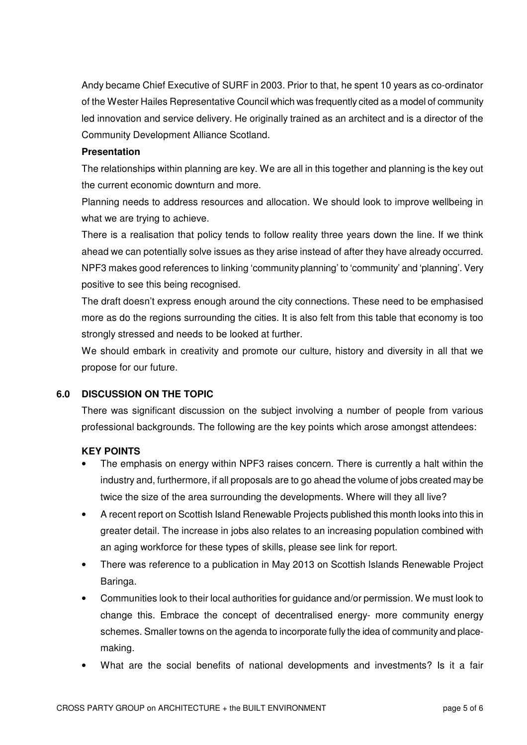Andy became Chief Executive of SURF in 2003. Prior to that, he spent 10 years as co-ordinator of the Wester Hailes Representative Council which was frequently cited as a model of community led innovation and service delivery. He originally trained as an architect and is a director of the Community Development Alliance Scotland.

# **Presentation**

The relationships within planning are key. We are all in this together and planning is the key out the current economic downturn and more.

Planning needs to address resources and allocation. We should look to improve wellbeing in what we are trying to achieve.

There is a realisation that policy tends to follow reality three years down the line. If we think ahead we can potentially solve issues as they arise instead of after they have already occurred. NPF3 makes good references to linking 'community planning' to 'community' and 'planning'. Very positive to see this being recognised.

The draft doesn't express enough around the city connections. These need to be emphasised more as do the regions surrounding the cities. It is also felt from this table that economy is too strongly stressed and needs to be looked at further.

We should embark in creativity and promote our culture, history and diversity in all that we propose for our future.

# **6.0 DISCUSSION ON THE TOPIC**

There was significant discussion on the subject involving a number of people from various professional backgrounds. The following are the key points which arose amongst attendees:

# **KEY POINTS**

- The emphasis on energy within NPF3 raises concern. There is currently a halt within the industry and, furthermore, if all proposals are to go ahead the volume of jobs created may be twice the size of the area surrounding the developments. Where will they all live?
- A recent report on Scottish Island Renewable Projects published this month looks into this in greater detail. The increase in jobs also relates to an increasing population combined with an aging workforce for these types of skills, please see link for report.
- There was reference to a publication in May 2013 on Scottish Islands Renewable Project Baringa.
- Communities look to their local authorities for guidance and/or permission. We must look to change this. Embrace the concept of decentralised energy- more community energy schemes. Smaller towns on the agenda to incorporate fully the idea of community and placemaking.
- What are the social benefits of national developments and investments? Is it a fair